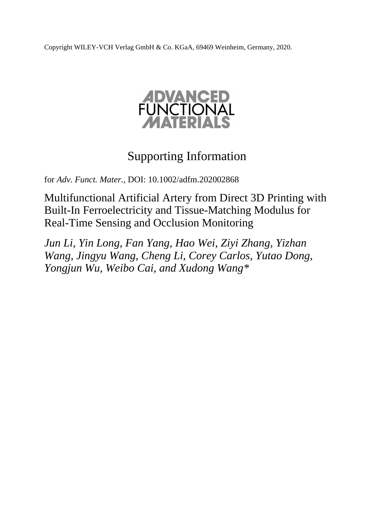Copyright WILEY-VCH Verlag GmbH & Co. KGaA, 69469 Weinheim, Germany, 2020.



## Supporting Information

for *Adv. Funct. Mater.,* DOI: 10.1002/adfm.202002868

Multifunctional Artificial Artery from Direct 3D Printing with Built-In Ferroelectricity and Tissue-Matching Modulus for Real-Time Sensing and Occlusion Monitoring

*Jun Li, Yin Long, Fan Yang, Hao Wei, Ziyi Zhang, Yizhan Wang, Jingyu Wang, Cheng Li, Corey Carlos, Yutao Dong, Yongjun Wu, Weibo Cai, and Xudong Wang\**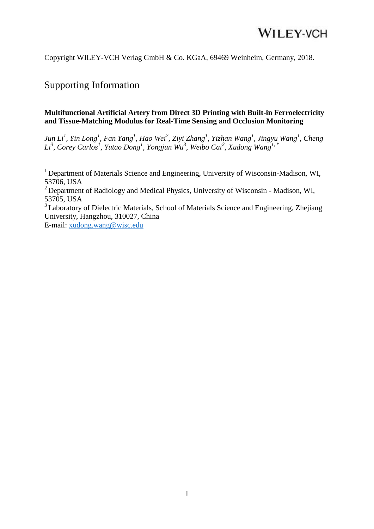Copyright WILEY-VCH Verlag GmbH & Co. KGaA, 69469 Weinheim, Germany, 2018.

#### Supporting Information

#### **Multifunctional Artificial Artery from Direct 3D Printing with Built-in Ferroelectricity and Tissue-Matching Modulus for Real-Time Sensing and Occlusion Monitoring**

*Jun Li<sup>1</sup> , Yin Long<sup>1</sup> , Fan Yang<sup>1</sup> , Hao Wei<sup>2</sup> , Ziyi Zhang<sup>1</sup> , Yizhan Wang<sup>1</sup> , Jingyu Wang<sup>1</sup> , Cheng Li3 , Corey Carlos<sup>1</sup> , Yutao Dong<sup>1</sup> , Yongjun Wu<sup>3</sup> , Weibo Cai<sup>2</sup> , Xudong Wang1, \**

<sup>1</sup> Department of Materials Science and Engineering, University of Wisconsin-Madison, WI, 53706, USA

<sup>2</sup> Department of Radiology and Medical Physics, University of Wisconsin - Madison, WI, 53705, USA

<sup>3</sup> Laboratory of Dielectric Materials, School of Materials Science and Engineering, Zhejiang University, Hangzhou, 310027, China

E-mail: [xudong.wang@wisc.edu](mailto:xudong.wang@wisc.edu)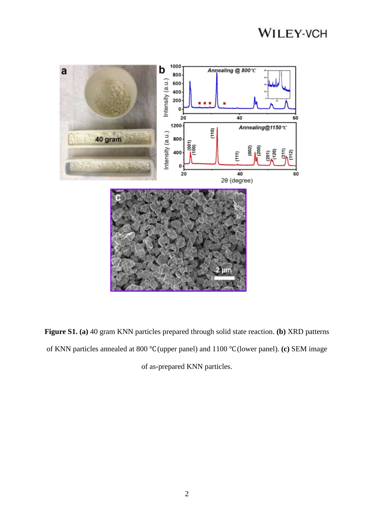

**Figure S1. (a)** 40 gram KNN particles prepared through solid state reaction. **(b)** XRD patterns of KNN particles annealed at 800 ℃ (upper panel) and 1100 ℃ (lower panel). **(c)** SEM image of as-prepared KNN particles.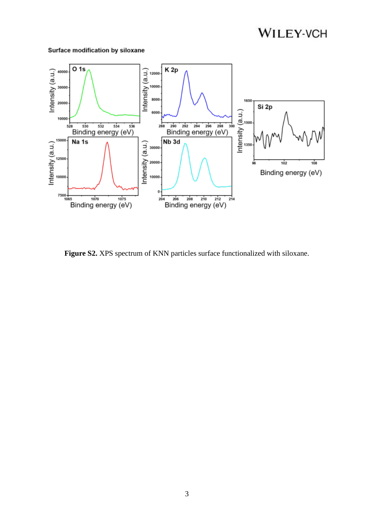#### Surface modification by siloxane



Figure S2. XPS spectrum of KNN particles surface functionalized with siloxane.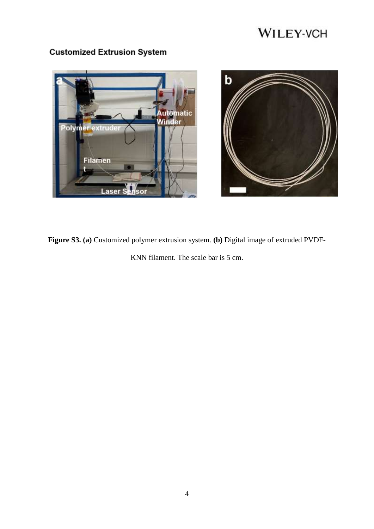

#### **Customized Extrusion System**



**Figure S3. (a)** Customized polymer extrusion system. **(b)** Digital image of extruded PVDF-

KNN filament. The scale bar is 5 cm.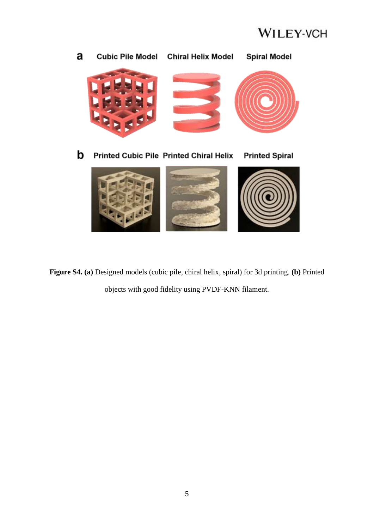



**Figure S4. (a)** Designed models (cubic pile, chiral helix, spiral) for 3d printing. **(b)** Printed objects with good fidelity using PVDF-KNN filament.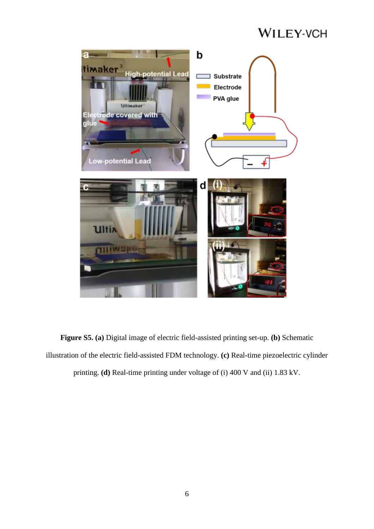

**Figure S5. (a)** Digital image of electric field-assisted printing set-up. **(b)** Schematic illustration of the electric field-assisted FDM technology. **(c)** Real-time piezoelectric cylinder printing. **(d)** Real-time printing under voltage of (i) 400 V and (ii) 1.83 kV.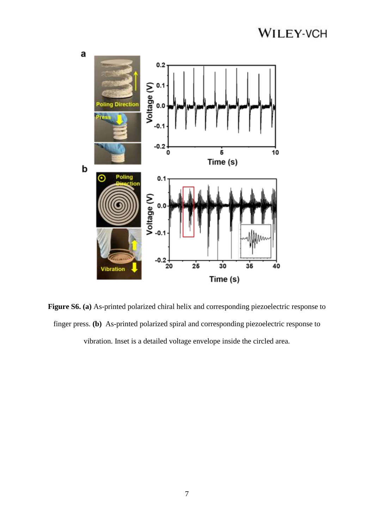

**Figure S6. (a)** As-printed polarized chiral helix and corresponding piezoelectric response to finger press. **(b)** As-printed polarized spiral and corresponding piezoelectric response to vibration. Inset is a detailed voltage envelope inside the circled area.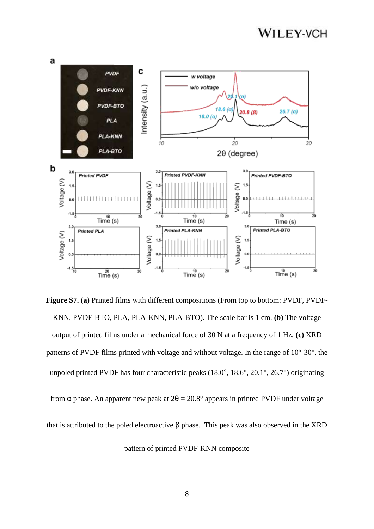

**Figure S7. (a)** Printed films with different compositions (From top to bottom: PVDF, PVDF-KNN, PVDF-BTO, PLA, PLA-KNN, PLA-BTO). The scale bar is 1 cm. **(b)** The voltage output of printed films under a mechanical force of 30 N at a frequency of 1 Hz. **(c)** XRD patterns of PVDF films printed with voltage and without voltage. In the range of 10°-30°, the unpoled printed PVDF has four characteristic peaks (18.0°, 18.6°, 20.1°, 26.7°) originating

from  $\alpha$  phase. An apparent new peak at  $2\theta = 20.8^\circ$  appears in printed PVDF under voltage

that is attributed to the poled electroactive  $β$  phase. This peak was also observed in the XRD

pattern of printed PVDF-KNN composite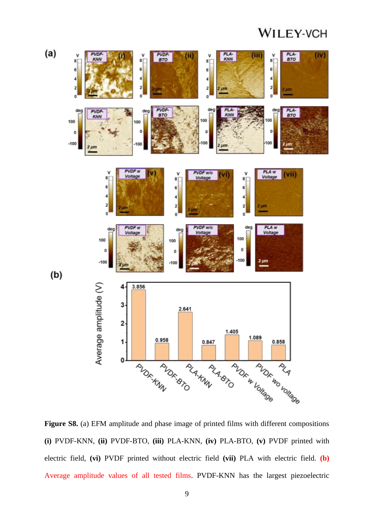

Figure S8. (a) EFM amplitude and phase image of printed films with different compositions **(i)** PVDF-KNN, **(ii)** PVDF-BTO, **(iii)** PLA-KNN, **(iv)** PLA-BTO, **(v)** PVDF printed with electric field, **(vi)** PVDF printed without electric field **(vii)** PLA with electric field. **(b)** Average amplitude values of all tested films. PVDF-KNN has the largest piezoelectric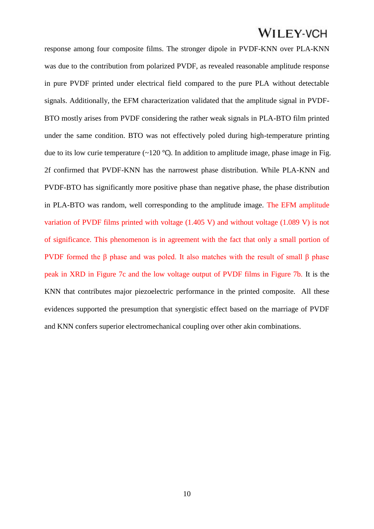response among four composite films. The stronger dipole in PVDF-KNN over PLA-KNN was due to the contribution from polarized PVDF, as revealed reasonable amplitude response in pure PVDF printed under electrical field compared to the pure PLA without detectable signals. Additionally, the EFM characterization validated that the amplitude signal in PVDF-BTO mostly arises from PVDF considering the rather weak signals in PLA-BTO film printed under the same condition. BTO was not effectively poled during high-temperature printing due to its low curie temperature (~120 °C). In addition to amplitude image, phase image in Fig. 2f confirmed that PVDF-KNN has the narrowest phase distribution. While PLA-KNN and PVDF-BTO has significantly more positive phase than negative phase, the phase distribution in PLA-BTO was random, well corresponding to the amplitude image. The EFM amplitude variation of PVDF films printed with voltage (1.405 V) and without voltage (1.089 V) is not of significance. This phenomenon is in agreement with the fact that only a small portion of PVDF formed the β phase and was poled. It also matches with the result of small β phase peak in XRD in Figure 7c and the low voltage output of PVDF films in Figure 7b. It is the KNN that contributes major piezoelectric performance in the printed composite. All these evidences supported the presumption that synergistic effect based on the marriage of PVDF and KNN confers superior electromechanical coupling over other akin combinations.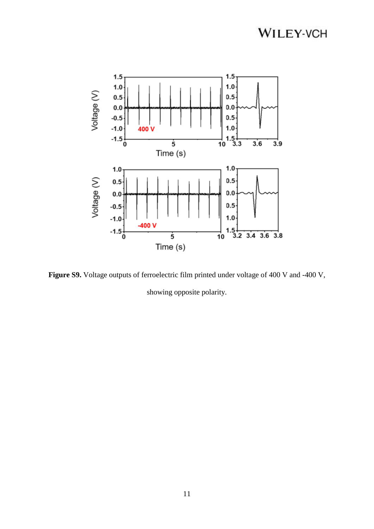

Figure S9. Voltage outputs of ferroelectric film printed under voltage of 400 V and -400 V,

showing opposite polarity.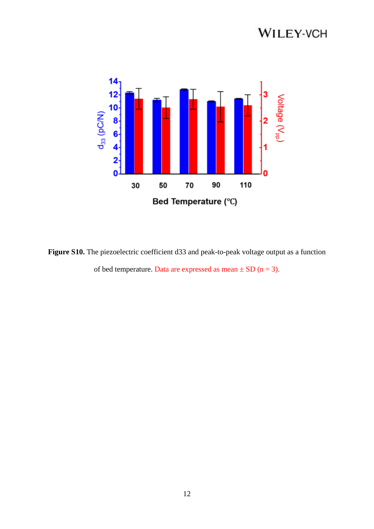

Figure S10. The piezoelectric coefficient d33 and peak-to-peak voltage output as a function of bed temperature. Data are expressed as mean  $\pm$  SD (n = 3).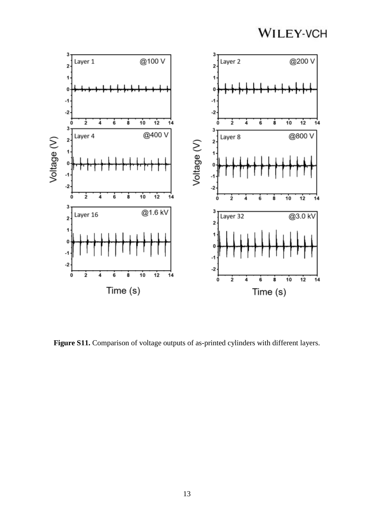

Figure S11. Comparison of voltage outputs of as-printed cylinders with different layers.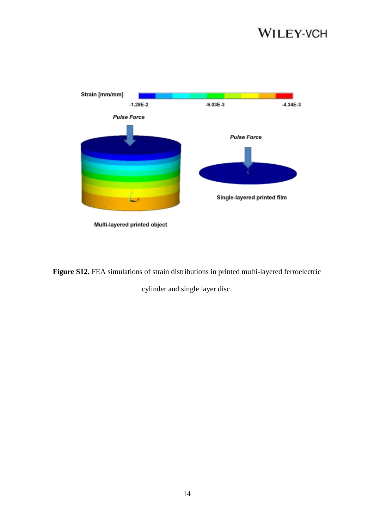

**Figure S12.** FEA simulations of strain distributions in printed multi-layered ferroelectric

cylinder and single layer disc.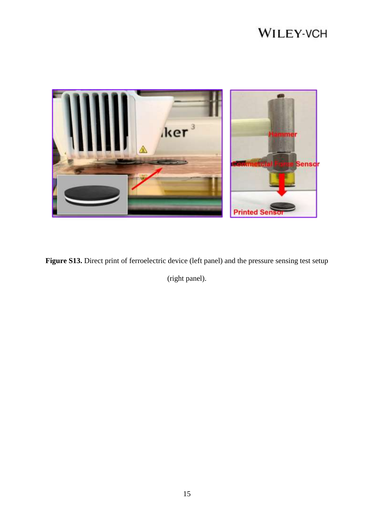

Figure S13. Direct print of ferroelectric device (left panel) and the pressure sensing test setup

(right panel).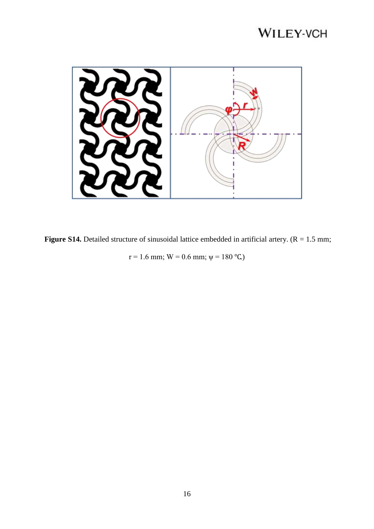

**Figure S14.** Detailed structure of sinusoidal lattice embedded in artificial artery.  $(R = 1.5 \text{ mm})$ ;

 $r = 1.6$  mm;  $W = 0.6$  mm;  $\psi = 180$  °C)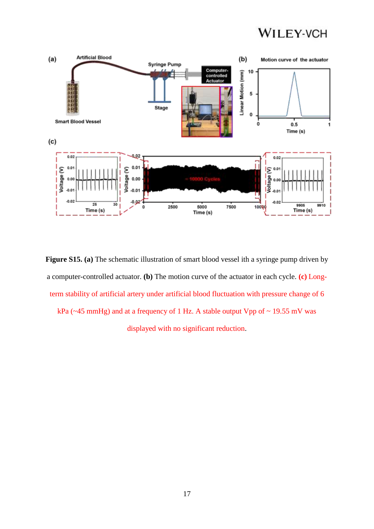

**Figure S15. (a)** The schematic illustration of smart blood vessel ith a syringe pump driven by a computer-controlled actuator. **(b)** The motion curve of the actuator in each cycle. **(c)** Longterm stability of artificial artery under artificial blood fluctuation with pressure change of 6 kPa ( $\sim$ 45 mmHg) and at a frequency of 1 Hz. A stable output Vpp of  $\sim$  19.55 mV was displayed with no significant reduction.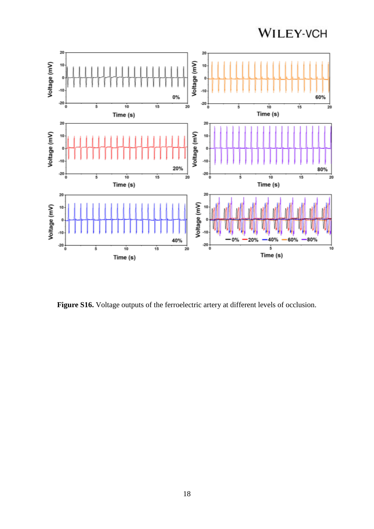

Figure S16. Voltage outputs of the ferroelectric artery at different levels of occlusion.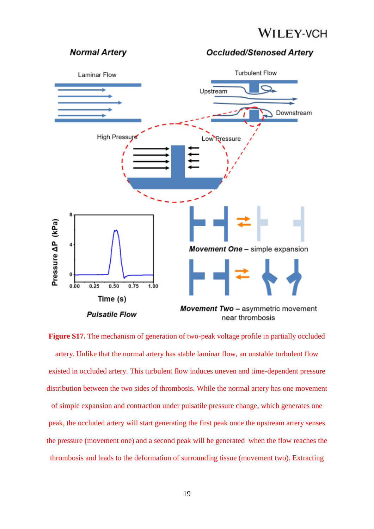#### **Normal Arterv**

**Occluded/Stenosed Artery** 



Figure S17. The mechanism of generation of two-peak voltage profile in partially occluded artery. Unlike that the normal artery has stable laminar flow, an unstable turbulent flow existed in occluded artery. This turbulent flow induces uneven and time-dependent pressure distribution between the two sides of thrombosis. While the normal artery has one movement of simple expansion and contraction under pulsatile pressure change, which generates one peak, the occluded artery will start generating the first peak once the upstream artery senses the pressure (movement one) and a second peak will be generated when the flow reaches the thrombosis and leads to the deformation of surrounding tissue (movement two). Extracting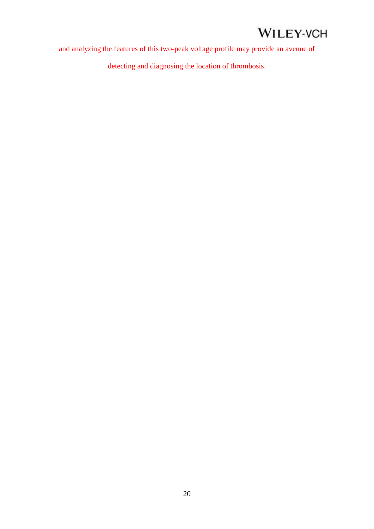and analyzing the features of this two-peak voltage profile may provide an avenue of

detecting and diagnosing the location of thrombosis.